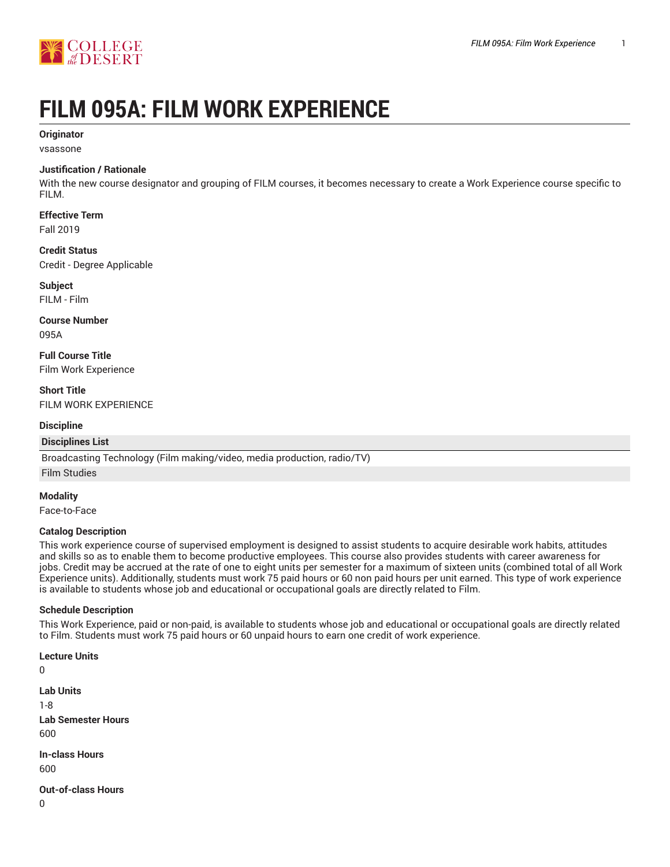

# **FILM 095A: FILM WORK EXPERIENCE**

#### **Originator**

vsassone

#### **Justification / Rationale**

With the new course designator and grouping of FILM courses, it becomes necessary to create a Work Experience course specific to FILM.

## **Effective Term**

Fall 2019

#### **Credit Status**

Credit - Degree Applicable

#### **Subject**

FILM - Film

## **Course Number**

095A

**Full Course Title** Film Work Experience

**Short Title** FILM WORK EXPERIENCE

#### **Discipline**

#### **Disciplines List**

Broadcasting Technology (Film making/video, media production, radio/TV)

Film Studies

#### **Modality**

Face-to-Face

#### **Catalog Description**

This work experience course of supervised employment is designed to assist students to acquire desirable work habits, attitudes and skills so as to enable them to become productive employees. This course also provides students with career awareness for jobs. Credit may be accrued at the rate of one to eight units per semester for a maximum of sixteen units (combined total of all Work Experience units). Additionally, students must work 75 paid hours or 60 non paid hours per unit earned. This type of work experience is available to students whose job and educational or occupational goals are directly related to Film.

#### **Schedule Description**

This Work Experience, paid or non-paid, is available to students whose job and educational or occupational goals are directly related to Film. Students must work 75 paid hours or 60 unpaid hours to earn one credit of work experience.

#### **Lecture Units**

```
0
```
**Lab Units** 1-8 **Lab Semester Hours** 600 **In-class Hours** 600 **Out-of-class Hours** 0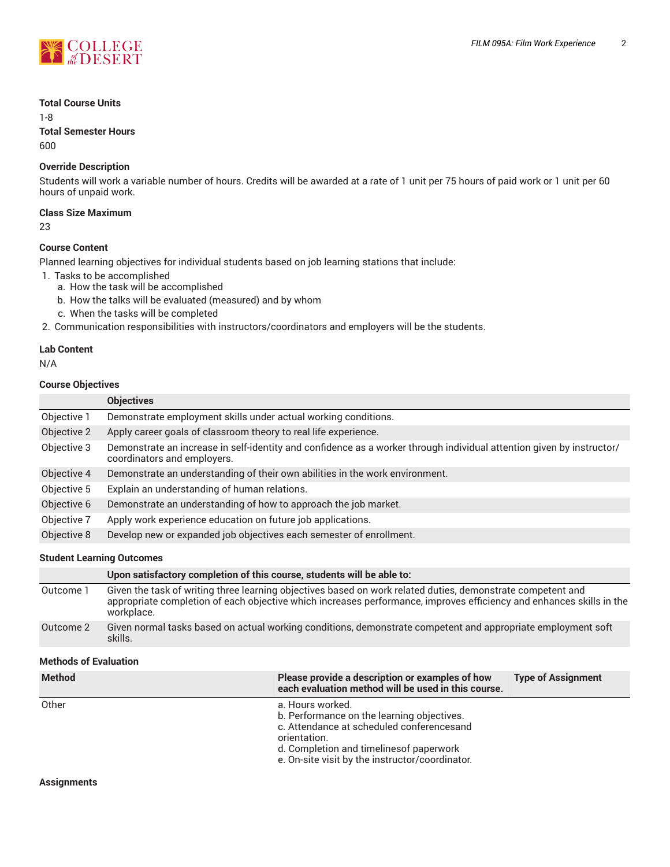

#### **Total Course Units**

1-8

**Total Semester Hours**

600

#### **Override Description**

Students will work a variable number of hours. Credits will be awarded at a rate of 1 unit per 75 hours of paid work or 1 unit per 60 hours of unpaid work.

#### **Class Size Maximum**

23

#### **Course Content**

Planned learning objectives for individual students based on job learning stations that include:

- 1. Tasks to be accomplished
	- a. How the task will be accomplished
	- b. How the talks will be evaluated (measured) and by whom
	- c. When the tasks will be completed
- 2. Communication responsibilities with instructors/coordinators and employers will be the students.

#### **Lab Content**

N/A

#### **Course Objectives**

|             | <b>Objectives</b>                                                                                                                                    |  |
|-------------|------------------------------------------------------------------------------------------------------------------------------------------------------|--|
| Objective 1 | Demonstrate employment skills under actual working conditions.                                                                                       |  |
| Objective 2 | Apply career goals of classroom theory to real life experience.                                                                                      |  |
| Objective 3 | Demonstrate an increase in self-identity and confidence as a worker through individual attention given by instructor/<br>coordinators and employers. |  |
| Objective 4 | Demonstrate an understanding of their own abilities in the work environment.                                                                         |  |
| Objective 5 | Explain an understanding of human relations.                                                                                                         |  |
| Objective 6 | Demonstrate an understanding of how to approach the job market.                                                                                      |  |
| Objective 7 | Apply work experience education on future job applications.                                                                                          |  |
| Objective 8 | Develop new or expanded job objectives each semester of enrollment.                                                                                  |  |

#### **Student Learning Outcomes**

|           | Upon satisfactory completion of this course, students will be able to:                                                                                                                                                                            |
|-----------|---------------------------------------------------------------------------------------------------------------------------------------------------------------------------------------------------------------------------------------------------|
| Outcome 1 | Given the task of writing three learning objectives based on work related duties, demonstrate competent and<br>appropriate completion of each objective which increases performance, improves efficiency and enhances skills in the<br>workplace. |
| Outcome 2 | Given normal tasks based on actual working conditions, demonstrate competent and appropriate employment soft<br>skills.                                                                                                                           |

#### **Methods of Evaluation**

| <b>Method</b>      | Please provide a description or examples of how<br>each evaluation method will be used in this course.                                                                                                                     | <b>Type of Assignment</b> |
|--------------------|----------------------------------------------------------------------------------------------------------------------------------------------------------------------------------------------------------------------------|---------------------------|
| Other              | a. Hours worked.<br>b. Performance on the learning objectives.<br>c. Attendance at scheduled conferencesand<br>orientation.<br>d. Completion and timelines of paperwork<br>e. On-site visit by the instructor/coordinator. |                           |
| <b>Assignments</b> |                                                                                                                                                                                                                            |                           |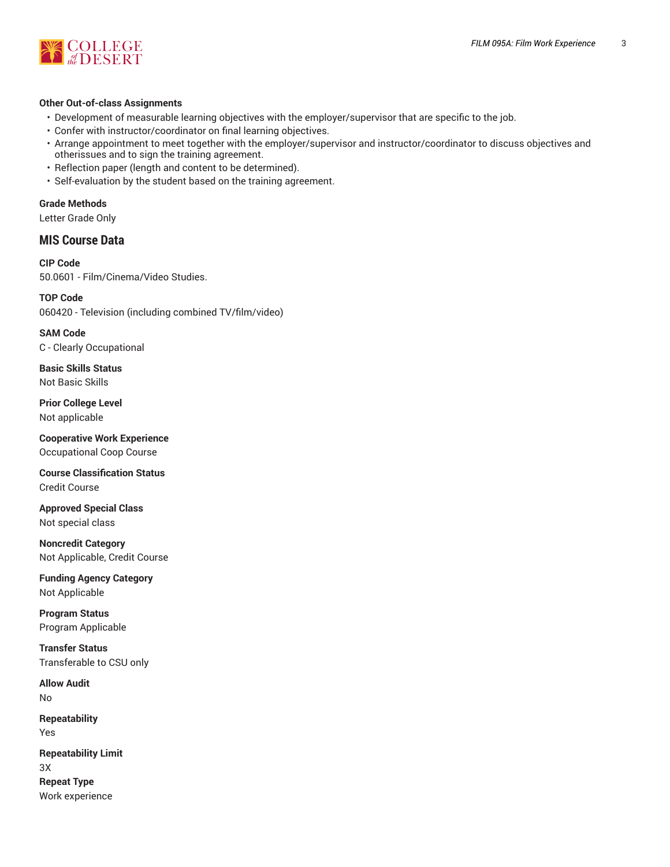

#### **Other Out-of-class Assignments**

- Development of measurable learning objectives with the employer/supervisor that are specific to the job.
- Confer with instructor/coordinator on final learning objectives.
- Arrange appointment to meet together with the employer/supervisor and instructor/coordinator to discuss objectives and otherissues and to sign the training agreement.
- Reflection paper (length and content to be determined).
- Self-evaluation by the student based on the training agreement.

#### **Grade Methods**

Letter Grade Only

#### **MIS Course Data**

**CIP Code** 50.0601 - Film/Cinema/Video Studies.

**TOP Code** 060420 - Television (including combined TV/film/video)

**SAM Code** C - Clearly Occupational

**Basic Skills Status** Not Basic Skills

**Prior College Level** Not applicable

**Cooperative Work Experience** Occupational Coop Course

**Course Classification Status** Credit Course

**Approved Special Class** Not special class

**Noncredit Category** Not Applicable, Credit Course

**Funding Agency Category** Not Applicable

**Program Status** Program Applicable

**Transfer Status** Transferable to CSU only

**Allow Audit** No

**Repeatability** Yes

**Repeatability Limit** 3X **Repeat Type**

Work experience